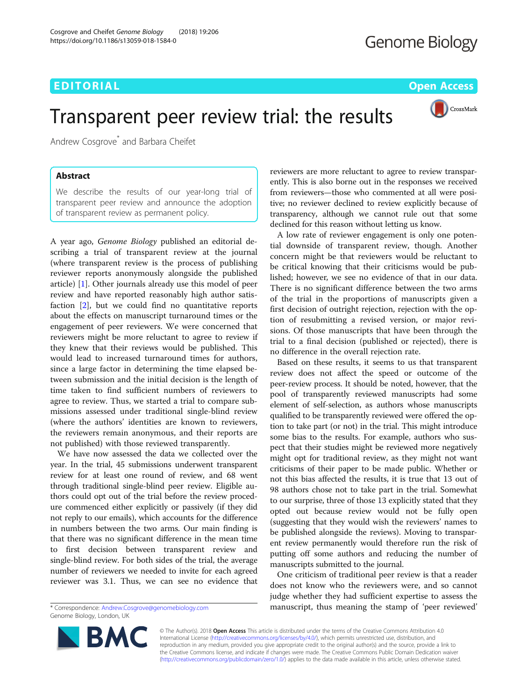CrossMark

# Transparent peer review trial: the results

Andrew Cosgrove<sup>\*</sup> and Barbara Cheifet

# Abstract

We describe the results of our year-long trial of transparent peer review and announce the adoption of transparent review as permanent policy.

A year ago, Genome Biology published an editorial describing a trial of transparent review at the journal (where transparent review is the process of publishing reviewer reports anonymously alongside the published article) [\[1](#page-1-0)]. Other journals already use this model of peer review and have reported reasonably high author satisfaction [[2\]](#page-1-0), but we could find no quantitative reports about the effects on manuscript turnaround times or the engagement of peer reviewers. We were concerned that reviewers might be more reluctant to agree to review if they knew that their reviews would be published. This would lead to increased turnaround times for authors, since a large factor in determining the time elapsed between submission and the initial decision is the length of time taken to find sufficient numbers of reviewers to agree to review. Thus, we started a trial to compare submissions assessed under traditional single-blind review (where the authors' identities are known to reviewers, the reviewers remain anonymous, and their reports are not published) with those reviewed transparently.

We have now assessed the data we collected over the year. In the trial, 45 submissions underwent transparent review for at least one round of review, and 68 went through traditional single-blind peer review. Eligible authors could opt out of the trial before the review procedure commenced either explicitly or passively (if they did not reply to our emails), which accounts for the difference in numbers between the two arms. Our main finding is that there was no significant difference in the mean time to first decision between transparent review and single-blind review. For both sides of the trial, the average number of reviewers we needed to invite for each agreed reviewer was 3.1. Thus, we can see no evidence that

\* Correspondence: [Andrew.Cosgrove@genomebiology.com](mailto:Andrew.Cosgrove@genomebiology.com) Genome Biology, London, UK

reviewers are more reluctant to agree to review transparently. This is also borne out in the responses we received from reviewers—those who commented at all were positive; no reviewer declined to review explicitly because of transparency, although we cannot rule out that some declined for this reason without letting us know.

A low rate of reviewer engagement is only one potential downside of transparent review, though. Another concern might be that reviewers would be reluctant to be critical knowing that their criticisms would be published; however, we see no evidence of that in our data. There is no significant difference between the two arms of the trial in the proportions of manuscripts given a first decision of outright rejection, rejection with the option of resubmitting a revised version, or major revisions. Of those manuscripts that have been through the trial to a final decision (published or rejected), there is no difference in the overall rejection rate.

Based on these results, it seems to us that transparent review does not affect the speed or outcome of the peer-review process. It should be noted, however, that the pool of transparently reviewed manuscripts had some element of self-selection, as authors whose manuscripts qualified to be transparently reviewed were offered the option to take part (or not) in the trial. This might introduce some bias to the results. For example, authors who suspect that their studies might be reviewed more negatively might opt for traditional review, as they might not want criticisms of their paper to be made public. Whether or not this bias affected the results, it is true that 13 out of 98 authors chose not to take part in the trial. Somewhat to our surprise, three of those 13 explicitly stated that they opted out because review would not be fully open (suggesting that they would wish the reviewers' names to be published alongside the reviews). Moving to transparent review permanently would therefore run the risk of putting off some authors and reducing the number of manuscripts submitted to the journal.

One criticism of traditional peer review is that a reader does not know who the reviewers were, and so cannot judge whether they had sufficient expertise to assess the manuscript, thus meaning the stamp of 'peer reviewed'



© The Author(s). 2018 Open Access This article is distributed under the terms of the Creative Commons Attribution 4.0 International License [\(http://creativecommons.org/licenses/by/4.0/](http://creativecommons.org/licenses/by/4.0/)), which permits unrestricted use, distribution, and reproduction in any medium, provided you give appropriate credit to the original author(s) and the source, provide a link to the Creative Commons license, and indicate if changes were made. The Creative Commons Public Domain Dedication waiver [\(http://creativecommons.org/publicdomain/zero/1.0/](http://creativecommons.org/publicdomain/zero/1.0/)) applies to the data made available in this article, unless otherwise stated.